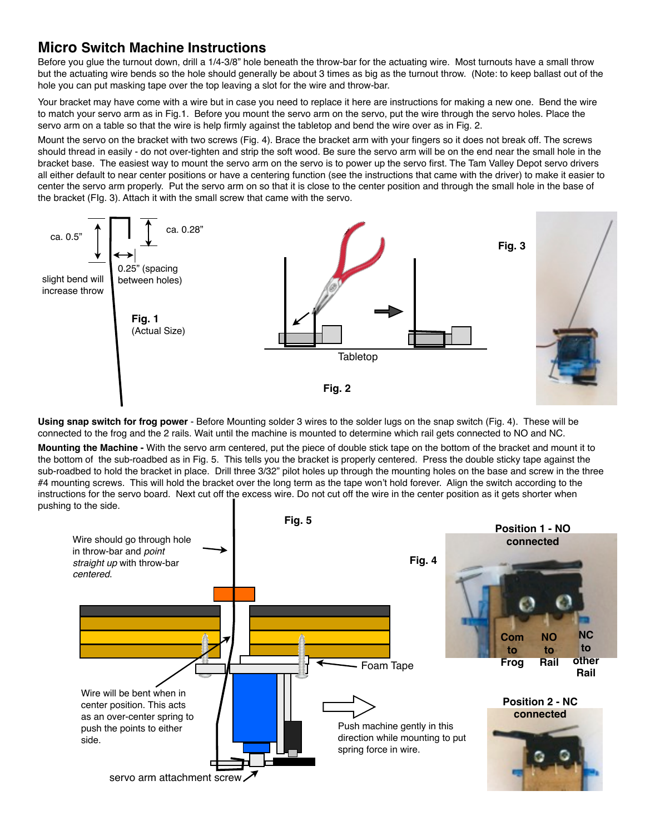## **Micro Switch Machine Instructions**

Before you glue the turnout down, drill a 1/4-3/8" hole beneath the throw-bar for the actuating wire. Most turnouts have a small throw but the actuating wire bends so the hole should generally be about 3 times as big as the turnout throw. (Note: to keep ballast out of the hole you can put masking tape over the top leaving a slot for the wire and throw-bar.

Your bracket may have come with a wire but in case you need to replace it here are instructions for making a new one. Bend the wire to match your servo arm as in Fig.1. Before you mount the servo arm on the servo, put the wire through the servo holes. Place the servo arm on a table so that the wire is help firmly against the tabletop and bend the wire over as in Fig. 2.

Mount the servo on the bracket with two screws (Fig. 4). Brace the bracket arm with your fingers so it does not break off. The screws should thread in easily - do not over-tighten and strip the soft wood. Be sure the servo arm will be on the end near the small hole in the bracket base. The easiest way to mount the servo arm on the servo is to power up the servo first. The Tam Valley Depot servo drivers all either default to near center positions or have a centering function (see the instructions that came with the driver) to make it easier to center the servo arm properly. Put the servo arm on so that it is close to the center position and through the small hole in the base of the bracket (FIg. 3). Attach it with the small screw that came with the servo.



**Using snap switch for frog power** - Before Mounting solder 3 wires to the solder lugs on the snap switch (Fig. 4). These will be connected to the frog and the 2 rails. Wait until the machine is mounted to determine which rail gets connected to NO and NC.

**Mounting the Machine -** With the servo arm centered, put the piece of double stick tape on the bottom of the bracket and mount it to the bottom of the sub-roadbed as in Fig. 5. This tells you the bracket is properly centered. Press the double sticky tape against the sub-roadbed to hold the bracket in place. Drill three 3/32" pilot holes up through the mounting holes on the base and screw in the three #4 mounting screws. This will hold the bracket over the long term as the tape won't hold forever. Align the switch according to the instructions for the servo board. Next cut off the excess wire. Do not cut off the wire in the center position as it gets shorter when pushing to the side.